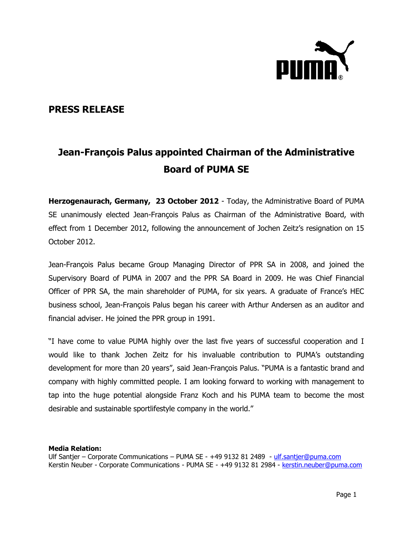

## **PRESS RELEASE**

## **Jean-François Palus appointed Chairman of the Administrative Board of PUMA SE**

**Herzogenaurach, Germany, 23 October 2012** - Today, the Administrative Board of PUMA SE unanimously elected Jean-François Palus as Chairman of the Administrative Board, with effect from 1 December 2012, following the announcement of Jochen Zeitz's resignation on 15 October 2012.

Jean-François Palus became Group Managing Director of PPR SA in 2008, and joined the Supervisory Board of PUMA in 2007 and the PPR SA Board in 2009. He was Chief Financial Officer of PPR SA, the main shareholder of PUMA, for six years. A graduate of France's HEC business school, Jean-François Palus began his career with Arthur Andersen as an auditor and financial adviser. He joined the PPR group in 1991.

"I have come to value PUMA highly over the last five years of successful cooperation and I would like to thank Jochen Zeitz for his invaluable contribution to PUMA's outstanding development for more than 20 years", said Jean-François Palus. "PUMA is a fantastic brand and company with highly committed people. I am looking forward to working with management to tap into the huge potential alongside Franz Koch and his PUMA team to become the most desirable and sustainable sportlifestyle company in the world."

## **Media Relation:**

Ulf Santier – Corporate Communications – PUMA SE - +49 9132 81 2489 - [ulf.santjer@puma.com](mailto:ulf.santjer@puma.com) Kerstin Neuber - Corporate Communications - PUMA SE - +49 9132 81 2984 - [kerstin.neuber@puma.com](mailto:kerstin.neuber@puma.com)